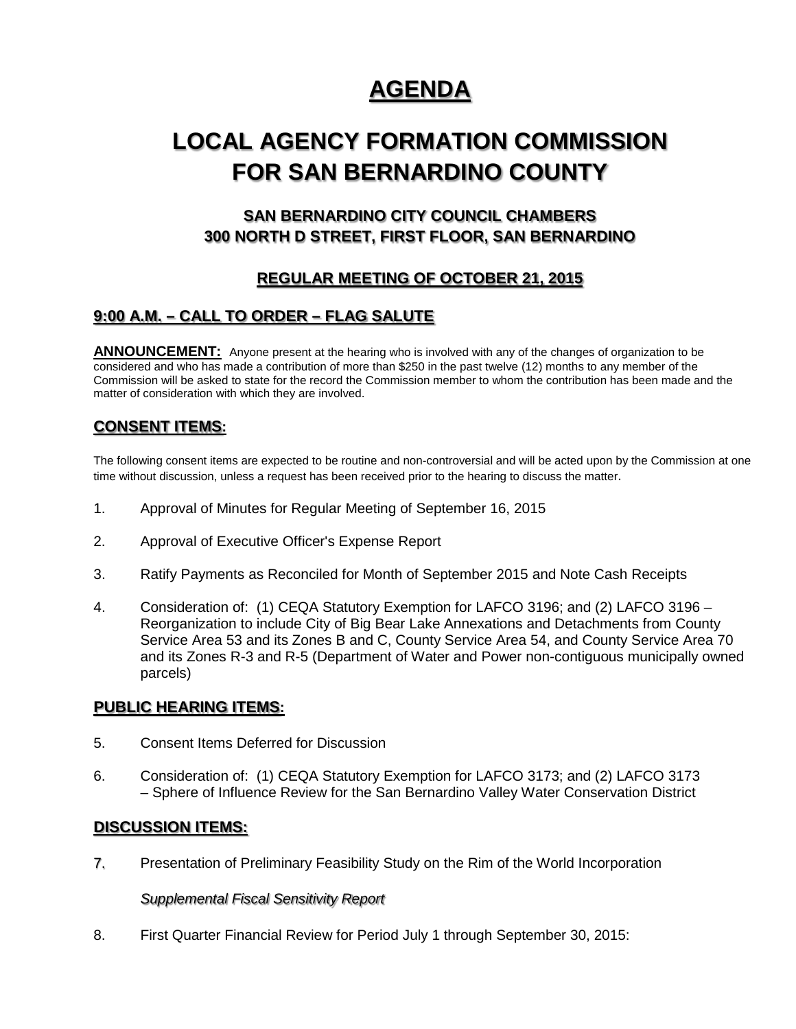# **AGENDA**

# **LOCAL AGENCY FORMATION COMMISSION FOR SAN BERNARDINO COUNTY**

## **SAN BERNARDINO CITY COUNCIL CHAMBERS 300 NORTH D STREET, FIRST FLOOR, SAN BERNARDINO**

# **REGULAR MEETING OF OCTOBER 21, 2015**

## **9:00 A.M. – CALL TO ORDER – FLAG SALUTE**

**ANNOUNCEMENT:** Anyone present at the hearing who is involved with any of the changes of organization to be considered and who has made a contribution of more than \$250 in the past twelve (12) months to any member of the Commission will be asked to state for the record the Commission member to whom the contribution has been made and the matter of consideration with which they are involved.

### **CONSENT ITEMS:**

The following consent items are expected to be routine and non-controversial and will be acted upon by the Commission at one time without discussion, unless a request has been received prior to the hearing to discuss the matter.

- 1. Approval of Minutes for Regular Meeting of September 16, 2015
- 2. Approval of Executive Officer's Expense Report
- 3. Ratify Payments as Reconciled for Month of September 2015 and Note Cash Receipts
- 4. Consideration of: (1) CEQA Statutory Exemption for LAFCO 3196; and (2) LAFCO 3196 Reorganization to include City of Big Bear Lake Annexations and Detachments from County Service Area 53 and its Zones B and C, County Service Area 54, and County Service Area 70 and its Zones R-3 and R-5 (Department of Water and Power non-contiguous municipally owned parcels)

### **PUBLIC HEARING ITEMS:**

- 5. Consent Items Deferred for Discussion
- 6. Consideration of: (1) CEQA Statutory Exemption for LAFCO 3173; and (2) LAFCO 3173 – Sphere of Influence Review for the San Bernardino Valley Water Conservation District

#### **DISCUSSION ITEMS:**

7. Presentation of Preliminary Feasibility Study on the Rim of the World Incorporation

#### *Supplemental Fiscal Sensitivity Report*

8. First Quarter Financial Review for Period July 1 through September 30, 2015: